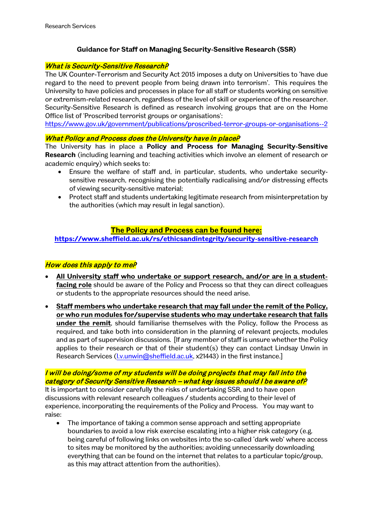# **Guidance for Staff on Managing Security-Sensitive Research (SSR)**

### What is Security-Sensitive Research?

The UK Counter-Terrorism and Security Act 2015 imposes a duty on Universities to 'have due regard to the need to prevent people from being drawn into terrorism'. This requires the University to have policies and processes in place for all staff or students working on sensitive or extremism-related research, regardless of the level of skill or experience of the researcher. Security-Sensitive Research is defined as research involving groups that are on the Home Office list of 'Proscribed terrorist groups or organisations':

<https://www.gov.uk/government/publications/proscribed-terror-groups-or-organisations--2>

#### What Policy and Process does the University have in placeP

The University has in place a **Policy and Process for Managing Security-Sensitive Research** (including learning and teaching activities which involve an element of research or academic enquiry) which seeks to:

- Ensure the welfare of staff and, in particular, students, who undertake securitysensitive research, recognising the potentially radicalising and/or distressing effects of viewing security-sensitive material;
- Protect staff and students undertaking legitimate research from misinterpretation by the authorities (which may result in legal sanction).

### **The Policy and Process can be found here:**

**<https://www.sheffield.ac.uk/rs/ethicsandintegrity/security-sensitive-research>**

### How does this apply to meP

- **All University staff who undertake or support research, and/or are in a studentfacing role** should be aware of the Policy and Process so that they can direct colleagues or students to the appropriate resources should the need arise.
- **Staff members who undertake research that may fall under the remit of the Policy, or who run modules for/supervise students who may undertake research that falls under the remit**, should familiarise themselves with the Policy, follow the Process as required, and take both into consideration in the planning of relevant projects, modules and as part of supervision discussions. [If any member of staff is unsure whether the Policy applies to their research or that of their student(s) they can contact Lindsay Unwin in Research Services (I.v.unwin@sheffield.ac.uk, x21443) in the first instance.]

# I will be doing/some of my students will be doing projects that may fall into the category of Security Sensitive Research – what key issues should I be aware of?

It is important to consider carefully the risks of undertaking SSR, and to have open discussions with relevant research colleagues / students according to their level of experience, incorporating the requirements of the Policy and Process. You may want to raise:

• The importance of taking a common sense approach and setting appropriate boundaries to avoid a low risk exercise escalating into a higher risk category (e.g. being careful of following links on websites into the so-called 'dark web' where access to sites may be monitored by the authorities; avoiding unnecessarily downloading everything that can be found on the internet that relates to a particular topic/group, as this may attract attention from the authorities).